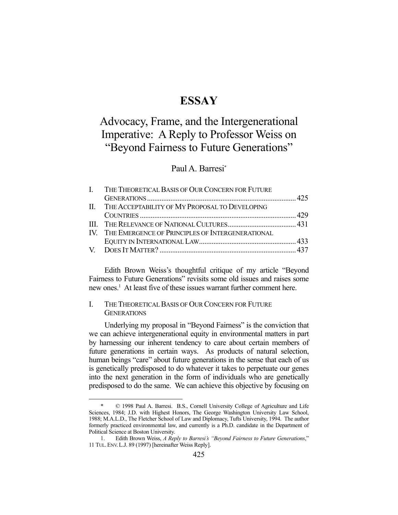## **ESSAY**

# Advocacy, Frame, and the Intergenerational Imperative: A Reply to Professor Weiss on "Beyond Fairness to Future Generations"

### Paul A. Barresi\*

| I. THE THEORETICAL BASIS OF OUR CONCERN FOR FUTURE   |  |
|------------------------------------------------------|--|
|                                                      |  |
| II. THE ACCEPTABILITY OF MY PROPOSAL TO DEVELOPING   |  |
|                                                      |  |
|                                                      |  |
| IV. THE EMERGENCE OF PRINCIPLES OF INTERGENERATIONAL |  |
|                                                      |  |
|                                                      |  |

 Edith Brown Weiss's thoughtful critique of my article "Beyond Fairness to Future Generations" revisits some old issues and raises some new ones.<sup>1</sup> At least five of these issues warrant further comment here.

#### I. THE THEORETICAL BASIS OF OUR CONCERN FOR FUTURE GENERATIONS

<u>.</u>

 Underlying my proposal in "Beyond Fairness" is the conviction that we can achieve intergenerational equity in environmental matters in part by harnessing our inherent tendency to care about certain members of future generations in certain ways. As products of natural selection, human beings "care" about future generations in the sense that each of us is genetically predisposed to do whatever it takes to perpetuate our genes into the next generation in the form of individuals who are genetically predisposed to do the same. We can achieve this objective by focusing on

 <sup>\* © 1998</sup> Paul A. Barresi. B.S., Cornell University College of Agriculture and Life Sciences, 1984; J.D. with Highest Honors, The George Washington University Law School, 1988; M.A.L.D., The Fletcher School of Law and Diplomacy, Tufts University, 1994. The author formerly practiced environmental law, and currently is a Ph.D. candidate in the Department of Political Science at Boston University.

 <sup>1.</sup> Edith Brown Weiss, *A Reply to Barresi's "Beyond Fairness to Future Generations*," 11 TUL. ENV. L.J. 89 (1997) [hereinafter Weiss Reply].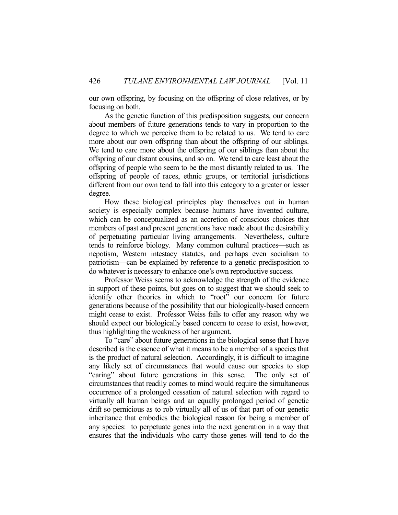our own offspring, by focusing on the offspring of close relatives, or by focusing on both.

 As the genetic function of this predisposition suggests, our concern about members of future generations tends to vary in proportion to the degree to which we perceive them to be related to us. We tend to care more about our own offspring than about the offspring of our siblings. We tend to care more about the offspring of our siblings than about the offspring of our distant cousins, and so on. We tend to care least about the offspring of people who seem to be the most distantly related to us. The offspring of people of races, ethnic groups, or territorial jurisdictions different from our own tend to fall into this category to a greater or lesser degree.

 How these biological principles play themselves out in human society is especially complex because humans have invented culture, which can be conceptualized as an accretion of conscious choices that members of past and present generations have made about the desirability of perpetuating particular living arrangements. Nevertheless, culture tends to reinforce biology. Many common cultural practices—such as nepotism, Western intestacy statutes, and perhaps even socialism to patriotism—can be explained by reference to a genetic predisposition to do whatever is necessary to enhance one's own reproductive success.

 Professor Weiss seems to acknowledge the strength of the evidence in support of these points, but goes on to suggest that we should seek to identify other theories in which to "root" our concern for future generations because of the possibility that our biologically-based concern might cease to exist. Professor Weiss fails to offer any reason why we should expect our biologically based concern to cease to exist, however, thus highlighting the weakness of her argument.

 To "care" about future generations in the biological sense that I have described is the essence of what it means to be a member of a species that is the product of natural selection. Accordingly, it is difficult to imagine any likely set of circumstances that would cause our species to stop "caring" about future generations in this sense. The only set of circumstances that readily comes to mind would require the simultaneous occurrence of a prolonged cessation of natural selection with regard to virtually all human beings and an equally prolonged period of genetic drift so pernicious as to rob virtually all of us of that part of our genetic inheritance that embodies the biological reason for being a member of any species: to perpetuate genes into the next generation in a way that ensures that the individuals who carry those genes will tend to do the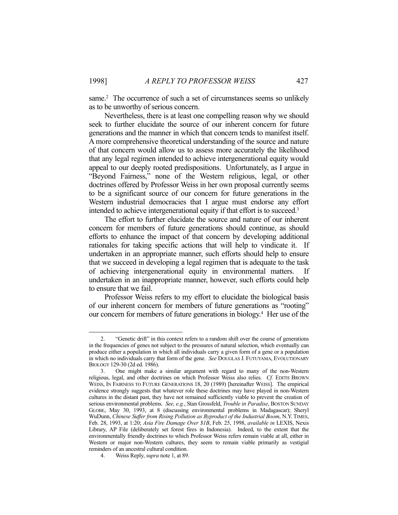same.<sup>2</sup> The occurrence of such a set of circumstances seems so unlikely as to be unworthy of serious concern.

 Nevertheless, there is at least one compelling reason why we should seek to further elucidate the source of our inherent concern for future generations and the manner in which that concern tends to manifest itself. A more comprehensive theoretical understanding of the source and nature of that concern would allow us to assess more accurately the likelihood that any legal regimen intended to achieve intergenerational equity would appeal to our deeply rooted predispositions. Unfortunately, as I argue in "Beyond Fairness," none of the Western religious, legal, or other doctrines offered by Professor Weiss in her own proposal currently seems to be a significant source of our concern for future generations in the Western industrial democracies that I argue must endorse any effort intended to achieve intergenerational equity if that effort is to succeed.3

 The effort to further elucidate the source and nature of our inherent concern for members of future generations should continue, as should efforts to enhance the impact of that concern by developing additional rationales for taking specific actions that will help to vindicate it. If undertaken in an appropriate manner, such efforts should help to ensure that we succeed in developing a legal regimen that is adequate to the task of achieving intergenerational equity in environmental matters. If undertaken in an inappropriate manner, however, such efforts could help to ensure that we fail.

 Professor Weiss refers to my effort to elucidate the biological basis of our inherent concern for members of future generations as "rooting" our concern for members of future generations in biology.<sup>4</sup> Her use of the

 <sup>2. &</sup>quot;Genetic drift" in this context refers to a random shift over the course of generations in the frequencies of genes not subject to the pressures of natural selection, which eventually can produce either a population in which all individuals carry a given form of a gene or a population in which no individuals carry that form of the gene. *See* DOUGLAS J. FUTUYAMA, EVOLUTIONARY BIOLOGY 129-30 (2d ed. 1986).

 <sup>3.</sup> One might make a similar argument with regard to many of the non-Western religious, legal, and other doctrines on which Professor Weiss also relies. *Cf.* EDITH BROWN WEISS, IN FAIRNESS TO FUTURE GENERATIONS 18, 20 (1989) [hereinafter WEISS]. The empirical evidence strongly suggests that whatever role these doctrines may have played in non-Western cultures in the distant past, they have not remained sufficiently viable to prevent the creation of serious environmental problems. *See, e.g.*, Stan Grossfeld, *Trouble in Paradise*, BOSTON SUNDAY GLOBE, May 30, 1993, at 8 (discussing environmental problems in Madagascar); Sheryl WuDunn, *Chinese Suffer from Rising Pollution as Byproduct of the Industrial Boom*, N.Y. TIMES, Feb. 28, 1993, at 1:20; *Asia Fire Damage Over \$1B*, Feb. 25, 1998, *available in* LEXIS, Nexis Library, AP File (deliberately set forest fires in Indonesia). Indeed, to the extent that the environmentally friendly doctrines to which Professor Weiss refers remain viable at all, either in Western or major non-Western cultures, they seem to remain viable primarily as vestigial reminders of an ancestral cultural condition.

 <sup>4.</sup> Weiss Reply, *supra* note 1, at 89.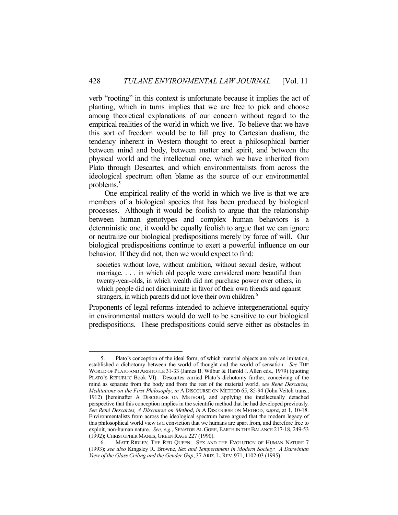verb "rooting" in this context is unfortunate because it implies the act of planting, which in turns implies that we are free to pick and choose among theoretical explanations of our concern without regard to the empirical realities of the world in which we live. To believe that we have this sort of freedom would be to fall prey to Cartesian dualism, the tendency inherent in Western thought to erect a philosophical barrier between mind and body, between matter and spirit, and between the physical world and the intellectual one, which we have inherited from Plato through Descartes, and which environmentalists from across the ideological spectrum often blame as the source of our environmental problems.<sup>5</sup>

 One empirical reality of the world in which we live is that we are members of a biological species that has been produced by biological processes. Although it would be foolish to argue that the relationship between human genotypes and complex human behaviors is a deterministic one, it would be equally foolish to argue that we can ignore or neutralize our biological predispositions merely by force of will. Our biological predispositions continue to exert a powerful influence on our behavior. If they did not, then we would expect to find:

societies without love, without ambition, without sexual desire, without marriage, . . . in which old people were considered more beautiful than twenty-year-olds, in which wealth did not purchase power over others, in which people did not discriminate in favor of their own friends and against strangers, in which parents did not love their own children.<sup>6</sup>

Proponents of legal reforms intended to achieve intergenerational equity in environmental matters would do well to be sensitive to our biological predispositions. These predispositions could serve either as obstacles in

 <sup>5.</sup> Plato's conception of the ideal form, of which material objects are only an imitation, established a dichotomy between the world of thought and the world of sensation. *See* THE WORLD OF PLATO AND ARISTOTLE 31-33 (James B. Wilbur & Harold J. Allen eds., 1979) (quoting PLATO'S REPUBLIC Book VI). Descartes carried Plato's dichotomy further, conceiving of the mind as separate from the body and from the rest of the material world, *see René Descartes, Meditations on the First Philosophy*, *in* A DISCOURSE ON METHOD 65, 85-94 (John Veitch trans., 1912) [hereinafter A DISCOURSE ON METHOD], and applying the intellectually detached perspective that this conception implies in the scientific method that he had developed previously. *See René Descartes, A Discourse on Method*, *in* A DISCOURSE ON METHOD, *supra*, at 1, 10-18. Environmentalists from across the ideological spectrum have argued that the modern legacy of this philosophical world view is a conviction that we humans are apart from, and therefore free to exploit, non-human nature. *See, e.g.*, SENATOR AL GORE, EARTH IN THE BALANCE 217-18, 249-53 (1992); CHRISTOPHER MANES, GREEN RAGE 227 (1990).

 <sup>6.</sup> MATT RIDLEY, THE RED QUEEN: SEX AND THE EVOLUTION OF HUMAN NATURE 7 (1993); *see also* Kingsley R. Browne, *Sex and Temperament in Modern Society: A Darwinian View of the Glass Ceiling and the Gender Gap*, 37 ARIZ. L.REV. 971, 1102-03 (1995).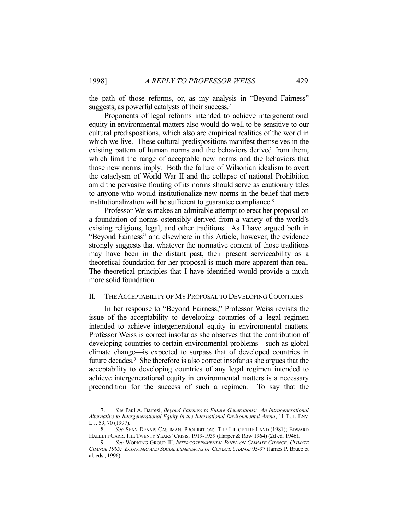the path of those reforms, or, as my analysis in "Beyond Fairness" suggests, as powerful catalysts of their success.<sup>7</sup>

 Proponents of legal reforms intended to achieve intergenerational equity in environmental matters also would do well to be sensitive to our cultural predispositions, which also are empirical realities of the world in which we live. These cultural predispositions manifest themselves in the existing pattern of human norms and the behaviors derived from them, which limit the range of acceptable new norms and the behaviors that those new norms imply. Both the failure of Wilsonian idealism to avert the cataclysm of World War II and the collapse of national Prohibition amid the pervasive flouting of its norms should serve as cautionary tales to anyone who would institutionalize new norms in the belief that mere institutionalization will be sufficient to guarantee compliance. 8

 Professor Weiss makes an admirable attempt to erect her proposal on a foundation of norms ostensibly derived from a variety of the world's existing religious, legal, and other traditions. As I have argued both in "Beyond Fairness" and elsewhere in this Article, however, the evidence strongly suggests that whatever the normative content of those traditions may have been in the distant past, their present serviceability as a theoretical foundation for her proposal is much more apparent than real. The theoretical principles that I have identified would provide a much more solid foundation.

#### II. THE ACCEPTABILITY OF MY PROPOSAL TO DEVELOPING COUNTRIES

 In her response to "Beyond Fairness," Professor Weiss revisits the issue of the acceptability to developing countries of a legal regimen intended to achieve intergenerational equity in environmental matters. Professor Weiss is correct insofar as she observes that the contribution of developing countries to certain environmental problems—such as global climate change—is expected to surpass that of developed countries in future decades.<sup>9</sup> She therefore is also correct insofar as she argues that the acceptability to developing countries of any legal regimen intended to achieve intergenerational equity in environmental matters is a necessary precondition for the success of such a regimen. To say that the

 <sup>7.</sup> *See* Paul A. Barresi, *Beyond Fairness to Future Generations: An Intragenerational Alternative to Intergenerational Equity in the International Environmental Arena*, 11 TUL. ENV. L.J. 59, 70 (1997).

 <sup>8.</sup> *See* SEAN DENNIS CASHMAN, PROHIBITION: THE LIE OF THE LAND (1981); EDWARD HALLETT CARR,THE TWENTY YEARS'CRISIS, 1919-1939 (Harper & Row 1964) (2d ed. 1946).

 <sup>9.</sup> *See* WORKING GROUP III, *INTERGOVERNMENTAL PANEL ON CLIMATE CHANGE, CLIMATE CHANGE 1995: ECONOMIC AND SOCIAL DIMENSIONS OF CLIMATE CHANGE* 95-97 (James P. Bruce et al. eds., 1996).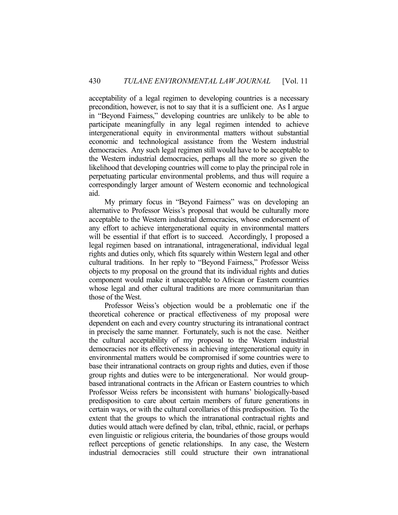acceptability of a legal regimen to developing countries is a necessary precondition, however, is not to say that it is a sufficient one. As I argue in "Beyond Fairness," developing countries are unlikely to be able to participate meaningfully in any legal regimen intended to achieve intergenerational equity in environmental matters without substantial economic and technological assistance from the Western industrial democracies. Any such legal regimen still would have to be acceptable to the Western industrial democracies, perhaps all the more so given the likelihood that developing countries will come to play the principal role in perpetuating particular environmental problems, and thus will require a correspondingly larger amount of Western economic and technological aid.

 My primary focus in "Beyond Fairness" was on developing an alternative to Professor Weiss's proposal that would be culturally more acceptable to the Western industrial democracies, whose endorsement of any effort to achieve intergenerational equity in environmental matters will be essential if that effort is to succeed. Accordingly, I proposed a legal regimen based on intranational, intragenerational, individual legal rights and duties only, which fits squarely within Western legal and other cultural traditions. In her reply to "Beyond Fairness," Professor Weiss objects to my proposal on the ground that its individual rights and duties component would make it unacceptable to African or Eastern countries whose legal and other cultural traditions are more communitarian than those of the West.

 Professor Weiss's objection would be a problematic one if the theoretical coherence or practical effectiveness of my proposal were dependent on each and every country structuring its intranational contract in precisely the same manner. Fortunately, such is not the case. Neither the cultural acceptability of my proposal to the Western industrial democracies nor its effectiveness in achieving intergenerational equity in environmental matters would be compromised if some countries were to base their intranational contracts on group rights and duties, even if those group rights and duties were to be intergenerational. Nor would groupbased intranational contracts in the African or Eastern countries to which Professor Weiss refers be inconsistent with humans' biologically-based predisposition to care about certain members of future generations in certain ways, or with the cultural corollaries of this predisposition. To the extent that the groups to which the intranational contractual rights and duties would attach were defined by clan, tribal, ethnic, racial, or perhaps even linguistic or religious criteria, the boundaries of those groups would reflect perceptions of genetic relationships. In any case, the Western industrial democracies still could structure their own intranational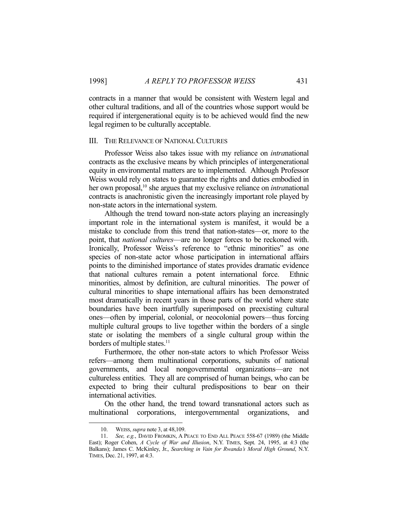contracts in a manner that would be consistent with Western legal and other cultural traditions, and all of the countries whose support would be required if intergenerational equity is to be achieved would find the new legal regimen to be culturally acceptable.

#### III. THE RELEVANCE OF NATIONAL CULTURES

 Professor Weiss also takes issue with my reliance on *intra*national contracts as the exclusive means by which principles of intergenerational equity in environmental matters are to implemented. Although Professor Weiss would rely on states to guarantee the rights and duties embodied in her own proposal,<sup>10</sup> she argues that my exclusive reliance on *intra*national contracts is anachronistic given the increasingly important role played by non-state actors in the international system.

 Although the trend toward non-state actors playing an increasingly important role in the international system is manifest, it would be a mistake to conclude from this trend that nation-states—or, more to the point, that *national cultures*—are no longer forces to be reckoned with. Ironically, Professor Weiss's reference to "ethnic minorities" as one species of non-state actor whose participation in international affairs points to the diminished importance of states provides dramatic evidence that national cultures remain a potent international force. Ethnic minorities, almost by definition, are cultural minorities. The power of cultural minorities to shape international affairs has been demonstrated most dramatically in recent years in those parts of the world where state boundaries have been inartfully superimposed on preexisting cultural ones—often by imperial, colonial, or neocolonial powers—thus forcing multiple cultural groups to live together within the borders of a single state or isolating the members of a single cultural group within the borders of multiple states.<sup>11</sup>

 Furthermore, the other non-state actors to which Professor Weiss refers—among them multinational corporations, subunits of national governments, and local nongovernmental organizations—are not cultureless entities. They all are comprised of human beings, who can be expected to bring their cultural predispositions to bear on their international activities.

 On the other hand, the trend toward transnational actors such as multinational corporations, intergovernmental organizations, and

 <sup>10.</sup> WEISS, *supra* note 3, at 48,109.

 <sup>11.</sup> *See, e.g.*, DAVID FROMKIN, A PEACE TO END ALL PEACE 558-67 (1989) (the Middle East); Roger Cohen, *A Cycle of War and Illusion*, N.Y. TIMES, Sept. 24, 1995, at 4:3 (the Balkans); James C. McKinley, Jr., *Searching in Vain for Rwanda's Moral High Ground*, N.Y. TIMES, Dec. 21, 1997, at 4:3.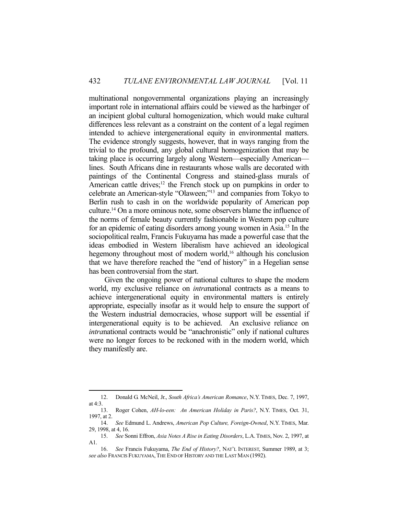multinational nongovernmental organizations playing an increasingly important role in international affairs could be viewed as the harbinger of an incipient global cultural homogenization, which would make cultural differences less relevant as a constraint on the content of a legal regimen intended to achieve intergenerational equity in environmental matters. The evidence strongly suggests, however, that in ways ranging from the trivial to the profound, any global cultural homogenization that may be taking place is occurring largely along Western—especially American lines. South Africans dine in restaurants whose walls are decorated with paintings of the Continental Congress and stained-glass murals of American cattle drives; $12$  the French stock up on pumpkins in order to celebrate an American-style "Olaween;"13 and companies from Tokyo to Berlin rush to cash in on the worldwide popularity of American pop culture.14 On a more ominous note, some observers blame the influence of the norms of female beauty currently fashionable in Western pop culture for an epidemic of eating disorders among young women in Asia.15 In the sociopolitical realm, Francis Fukuyama has made a powerful case that the ideas embodied in Western liberalism have achieved an ideological hegemony throughout most of modern world,<sup>16</sup> although his conclusion that we have therefore reached the "end of history" in a Hegelian sense has been controversial from the start.

 Given the ongoing power of national cultures to shape the modern world, my exclusive reliance on *intra*national contracts as a means to achieve intergenerational equity in environmental matters is entirely appropriate, especially insofar as it would help to ensure the support of the Western industrial democracies, whose support will be essential if intergenerational equity is to be achieved. An exclusive reliance on *intra*national contracts would be "anachronistic" only if national cultures were no longer forces to be reckoned with in the modern world, which they manifestly are.

 <sup>12.</sup> Donald G. McNeil, Jr., *South Africa's American Romance*, N.Y. TIMES, Dec. 7, 1997, at 4:3.

 <sup>13.</sup> Roger Cohen, *AH-lo-een: An American Holiday in Paris?*, N.Y. TIMES, Oct. 31, 1997, at 2.

 <sup>14.</sup> *See* Edmund L. Andrews, *American Pop Culture, Foreign-Owned*, N.Y. TIMES, Mar. 29, 1998, at 4, 16.

 <sup>15.</sup> *See* Sonni Effron, *Asia Notes A Rise in Eating Disorders*, L.A.TIMES, Nov. 2, 1997, at A1.

 <sup>16.</sup> *See* Francis Fukuyama, *The End of History?*, NAT'L INTEREST, Summer 1989, at 3; *see also* FRANCIS FUKUYAMA,THE END OF HISTORY AND THE LAST MAN (1992).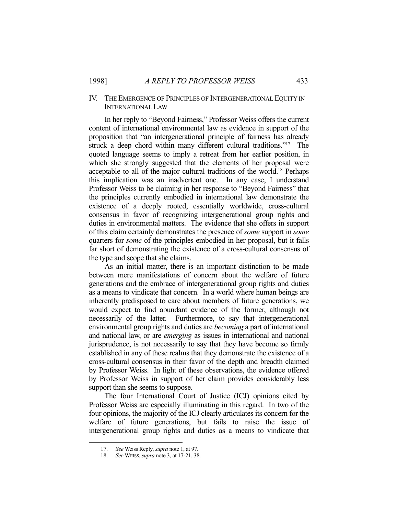#### IV. THE EMERGENCE OF PRINCIPLES OF INTERGENERATIONAL EQUITY IN INTERNATIONAL LAW

 In her reply to "Beyond Fairness," Professor Weiss offers the current content of international environmental law as evidence in support of the proposition that "an intergenerational principle of fairness has already struck a deep chord within many different cultural traditions."17 The quoted language seems to imply a retreat from her earlier position, in which she strongly suggested that the elements of her proposal were acceptable to all of the major cultural traditions of the world. 18 Perhaps this implication was an inadvertent one. In any case, I understand Professor Weiss to be claiming in her response to "Beyond Fairness" that the principles currently embodied in international law demonstrate the existence of a deeply rooted, essentially worldwide, cross-cultural consensus in favor of recognizing intergenerational group rights and duties in environmental matters. The evidence that she offers in support of this claim certainly demonstrates the presence of *some* support in *some* quarters for *some* of the principles embodied in her proposal, but it falls far short of demonstrating the existence of a cross-cultural consensus of the type and scope that she claims.

 As an initial matter, there is an important distinction to be made between mere manifestations of concern about the welfare of future generations and the embrace of intergenerational group rights and duties as a means to vindicate that concern. In a world where human beings are inherently predisposed to care about members of future generations, we would expect to find abundant evidence of the former, although not necessarily of the latter. Furthermore, to say that intergenerational environmental group rights and duties are *becoming* a part of international and national law, or are *emerging* as issues in international and national jurisprudence, is not necessarily to say that they have become so firmly established in any of these realms that they demonstrate the existence of a cross-cultural consensus in their favor of the depth and breadth claimed by Professor Weiss. In light of these observations, the evidence offered by Professor Weiss in support of her claim provides considerably less support than she seems to suppose.

 The four International Court of Justice (ICJ) opinions cited by Professor Weiss are especially illuminating in this regard. In two of the four opinions, the majority of the ICJ clearly articulates its concern for the welfare of future generations, but fails to raise the issue of intergenerational group rights and duties as a means to vindicate that

 <sup>17.</sup> *See* Weiss Reply, *supra* note 1, at 97.

 <sup>18.</sup> *See* WEISS, *supra* note 3, at 17-21, 38.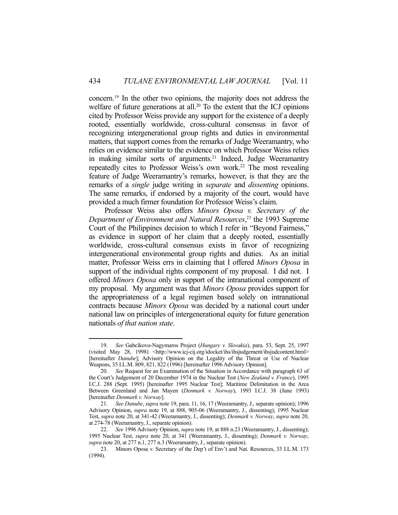concern.19 In the other two opinions, the majority does not address the welfare of future generations at all.<sup>20</sup> To the extent that the ICJ opinions cited by Professor Weiss provide any support for the existence of a deeply rooted, essentially worldwide, cross-cultural consensus in favor of recognizing intergenerational group rights and duties in environmental matters, that support comes from the remarks of Judge Weeramantry, who relies on evidence similar to the evidence on which Professor Weiss relies in making similar sorts of arguments.<sup>21</sup> Indeed, Judge Weeramantry repeatedly cites to Professor Weiss's own work.<sup>22</sup> The most revealing feature of Judge Weeramantry's remarks, however, is that they are the remarks of a *single* judge writing in *separate* and *dissenting* opinions. The same remarks, if endorsed by a majority of the court, would have provided a much firmer foundation for Professor Weiss's claim.

 Professor Weiss also offers *Minors Oposa v. Secretary of the Department of Environment and Natural Resources*, 23 the 1993 Supreme Court of the Philippines decision to which I refer in "Beyond Fairness," as evidence in support of her claim that a deeply rooted, essentially worldwide, cross-cultural consensus exists in favor of recognizing intergenerational environmental group rights and duties. As an initial matter, Professor Weiss errs in claiming that I offered *Minors Oposa* in support of the individual rights component of my proposal. I did not. I offered *Minors Oposa* only in support of the intranational component of my proposal. My argument was that *Minors Oposa* provides support for the appropriateness of a legal regimen based solely on intranational contracts because *Minors Oposa* was decided by a national court under national law on principles of intergenerational equity for future generation nationals *of that nation state*.

 <sup>19.</sup> *See* Gabcíkovo-Nagymaros Project (*Hungary v. Slovakia*), para. 53, Sept. 25, 1997 (visited May 28, 1998) <http://www.icj-cij.org/idocket/ihs/ihsjudgement/ihsjudcontent.html> [hereinafter *Danube*]; Advisory Opinion on the Legality of the Threat or Use of Nuclear Weapons, 35 I.L.M. 809, 821, 822 (1996) [hereinafter 1996 Advisory Opinion].

 <sup>20.</sup> *See* Request for an Examination of the Situation in Accordance with paragraph 63 of the Court's Judgement of 20 December 1974 in the Nuclear Test (*New Zealand v. France*), 1995 I.C.J. 288 (Sept. 1995) [hereinafter 1995 Nuclear Test]; Maritime Delimitation in the Area Between Greenland and Jan Mayen (*Denmark v. Norway*), 1993 I.C.J. 38 (June 1993) [hereinafter *Denmark v. Norway*].

 <sup>21.</sup> *See Danube*, *supra* note 19, para. 11, 16, 17 (Weeramantry, J., separate opinion); 1996 Advisory Opinion, *supra* note 19, at 888, 905-06 (Weeramantry, J., dissenting); 1995 Nuclear Test, *supra* note 20, at 341-42 (Weeramantry, J., dissenting); *Denmark v. Norway*, *supra* note 20, at 274-78 (Weeramantry, J., separate opinion).

 <sup>22.</sup> *See* 1996 Advisory Opinion, *supra* note 19, at 888 n.23 (Weeramantry, J., dissenting); 1995 Nuclear Test, *supra* note 20, at 341 (Weeramantry, J., dissenting); *Denmark v. Norway*, *supra* note 20, at 277 n.1, 277 n.3 (Weeramantry, J., separate opinion).

 <sup>23.</sup> Minors Oposa v. Secretary of the Dep't of Env't and Nat. Resources, 33 I.L.M. 173 (1994).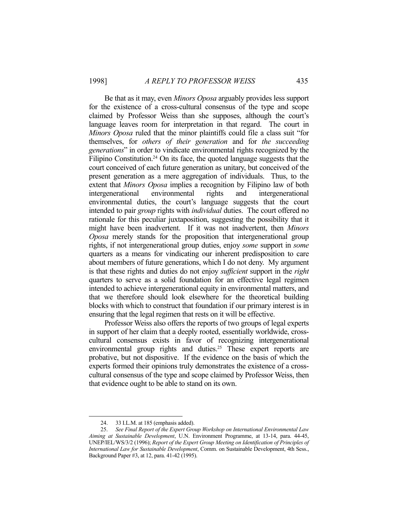Be that as it may, even *Minors Oposa* arguably provides less support for the existence of a cross-cultural consensus of the type and scope claimed by Professor Weiss than she supposes, although the court's language leaves room for interpretation in that regard. The court in *Minors Oposa* ruled that the minor plaintiffs could file a class suit "for themselves, for *others of their generation* and for *the succeeding generations*" in order to vindicate environmental rights recognized by the Filipino Constitution.<sup>24</sup> On its face, the quoted language suggests that the court conceived of each future generation as unitary, but conceived of the present generation as a mere aggregation of individuals. Thus, to the extent that *Minors Oposa* implies a recognition by Filipino law of both intergenerational environmental rights and intergenerational environmental duties, the court's language suggests that the court intended to pair *group* rights with *individual* duties. The court offered no rationale for this peculiar juxtaposition, suggesting the possibility that it might have been inadvertent. If it was not inadvertent, then *Minors Oposa* merely stands for the proposition that intergenerational group rights, if not intergenerational group duties, enjoy *some* support in *some* quarters as a means for vindicating our inherent predisposition to care about members of future generations, which I do not deny. My argument is that these rights and duties do not enjoy *sufficient* support in the *right* quarters to serve as a solid foundation for an effective legal regimen intended to achieve intergenerational equity in environmental matters, and that we therefore should look elsewhere for the theoretical building blocks with which to construct that foundation if our primary interest is in ensuring that the legal regimen that rests on it will be effective.

 Professor Weiss also offers the reports of two groups of legal experts in support of her claim that a deeply rooted, essentially worldwide, crosscultural consensus exists in favor of recognizing intergenerational environmental group rights and duties.<sup>25</sup> These expert reports are probative, but not dispositive. If the evidence on the basis of which the experts formed their opinions truly demonstrates the existence of a crosscultural consensus of the type and scope claimed by Professor Weiss, then that evidence ought to be able to stand on its own.

 <sup>24. 33</sup> I.L.M. at 185 (emphasis added).

 <sup>25.</sup> *See Final Report of the Expert Group Workshop on International Environmental Law Aiming at Sustainable Development*, U.N. Environment Programme, at 13-14, para. 44-45, UNEP/IEL/WS/3/2 (1996); *Report of the Expert Group Meeting on Identification of Principles of International Law for Sustainable Development*, Comm. on Sustainable Development, 4th Sess., Background Paper #3, at 12, para. 41-42 (1995).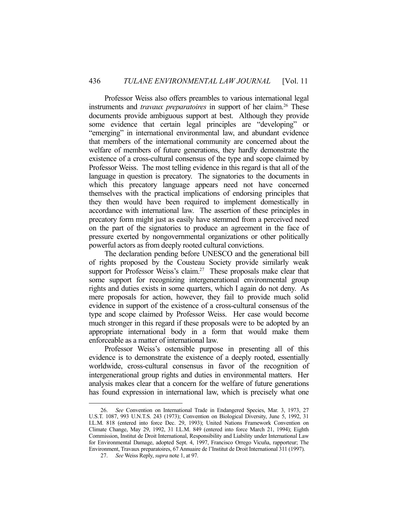Professor Weiss also offers preambles to various international legal instruments and *travaux preparatoires* in support of her claim.<sup>26</sup> These documents provide ambiguous support at best. Although they provide some evidence that certain legal principles are "developing" or "emerging" in international environmental law, and abundant evidence that members of the international community are concerned about the welfare of members of future generations, they hardly demonstrate the existence of a cross-cultural consensus of the type and scope claimed by Professor Weiss. The most telling evidence in this regard is that all of the language in question is precatory. The signatories to the documents in which this precatory language appears need not have concerned themselves with the practical implications of endorsing principles that they then would have been required to implement domestically in accordance with international law. The assertion of these principles in precatory form might just as easily have stemmed from a perceived need on the part of the signatories to produce an agreement in the face of pressure exerted by nongovernmental organizations or other politically powerful actors as from deeply rooted cultural convictions.

 The declaration pending before UNESCO and the generational bill of rights proposed by the Cousteau Society provide similarly weak support for Professor Weiss's claim.<sup>27</sup> These proposals make clear that some support for recognizing intergenerational environmental group rights and duties exists in some quarters, which I again do not deny. As mere proposals for action, however, they fail to provide much solid evidence in support of the existence of a cross-cultural consensus of the type and scope claimed by Professor Weiss. Her case would become much stronger in this regard if these proposals were to be adopted by an appropriate international body in a form that would make them enforceable as a matter of international law.

 Professor Weiss's ostensible purpose in presenting all of this evidence is to demonstrate the existence of a deeply rooted, essentially worldwide, cross-cultural consensus in favor of the recognition of intergenerational group rights and duties in environmental matters. Her analysis makes clear that a concern for the welfare of future generations has found expression in international law, which is precisely what one

 <sup>26.</sup> *See* Convention on International Trade in Endangered Species, Mar. 3, 1973, 27 U.S.T. 1087, 993 U.N.T.S. 243 (1973); Convention on Biological Diversity, June 5, 1992, 31 I.L.M. 818 (entered into force Dec. 29, 1993); United Nations Framework Convention on Climate Change, May 29, 1992, 31 I.L.M. 849 (entered into force March 21, 1994); Eighth Commission, Institut de Droit International, Responsibility and Liability under International Law for Environmental Damage, adopted Sept. 4, 1997, Francisco Orrego Vicuña, rapporteur; The Environment, Travaux preparatoires, 67 Annuaire de l'Institut de Droit International 311 (1997).

 <sup>27.</sup> *See* Weiss Reply, *supra* note 1, at 97.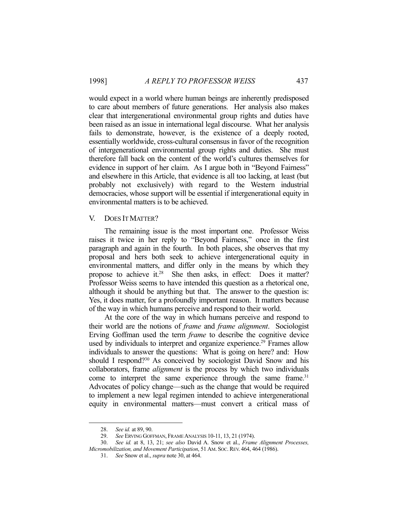would expect in a world where human beings are inherently predisposed to care about members of future generations. Her analysis also makes clear that intergenerational environmental group rights and duties have been raised as an issue in international legal discourse. What her analysis fails to demonstrate, however, is the existence of a deeply rooted, essentially worldwide, cross-cultural consensus in favor of the recognition of intergenerational environmental group rights and duties. She must therefore fall back on the content of the world's cultures themselves for evidence in support of her claim. As I argue both in "Beyond Fairness" and elsewhere in this Article, that evidence is all too lacking, at least (but probably not exclusively) with regard to the Western industrial democracies, whose support will be essential if intergenerational equity in environmental matters is to be achieved.

#### V. DOES IT MATTER?

 The remaining issue is the most important one. Professor Weiss raises it twice in her reply to "Beyond Fairness," once in the first paragraph and again in the fourth. In both places, she observes that my proposal and hers both seek to achieve intergenerational equity in environmental matters, and differ only in the means by which they propose to achieve it.<sup>28</sup> She then asks, in effect: Does it matter? Professor Weiss seems to have intended this question as a rhetorical one, although it should be anything but that. The answer to the question is: Yes, it does matter, for a profoundly important reason. It matters because of the way in which humans perceive and respond to their world.

 At the core of the way in which humans perceive and respond to their world are the notions of *frame* and *frame alignment*. Sociologist Erving Goffman used the term *frame* to describe the cognitive device used by individuals to interpret and organize experience.<sup>29</sup> Frames allow individuals to answer the questions: What is going on here? and: How should I respond?30 As conceived by sociologist David Snow and his collaborators, frame *alignment* is the process by which two individuals come to interpret the same experience through the same frame.<sup>31</sup> Advocates of policy change—such as the change that would be required to implement a new legal regimen intended to achieve intergenerational equity in environmental matters—must convert a critical mass of

 <sup>28.</sup> *See id.* at 89, 90.

 <sup>29.</sup> *See* ERVING GOFFMAN, FRAME ANALYSIS 10-11, 13, 21 (1974).

 <sup>30.</sup> *See id.* at 8, 13, 21; *see also* David A. Snow et al., *Frame Alignment Processes, Micromobilization, and Movement Participation*, 51 AM. SOC. REV. 464, 464 (1986).

 <sup>31.</sup> *See* Snow et al., *supra* note 30, at 464.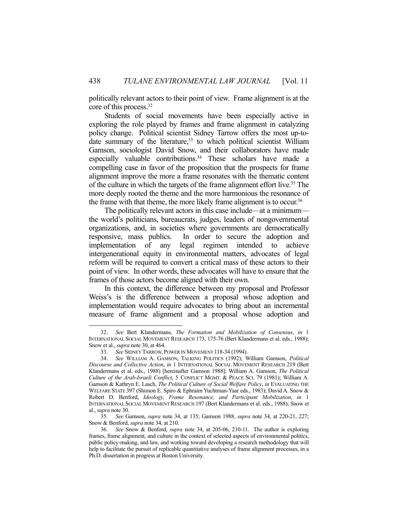politically relevant actors to their point of view. Frame alignment is at the core of this process.32

 Students of social movements have been especially active in exploring the role played by frames and frame alignment in catalyzing policy change. Political scientist Sidney Tarrow offers the most up-todate summary of the literature, $33$  to which political scientist William Gamson, sociologist David Snow, and their collaborators have made especially valuable contributions.<sup>34</sup> These scholars have made a compelling case in favor of the proposition that the prospects for frame alignment improve the more a frame resonates with the thematic content of the culture in which the targets of the frame alignment effort live.35 The more deeply rooted the theme and the more harmonious the resonance of the frame with that theme, the more likely frame alignment is to occur.<sup>36</sup>

 The politically relevant actors in this case include—at a minimum the world's politicians, bureaucrats, judges, leaders of nongovernmental organizations, and, in societies where governments are democratically responsive, mass publics. In order to secure the adoption and implementation of any legal regimen intended to achieve intergenerational equity in environmental matters, advocates of legal reform will be required to convert a critical mass of these actors to their point of view. In other words, these advocates will have to ensure that the frames of those actors become aligned with their own.

 In this context, the difference between my proposal and Professor Weiss's is the difference between a proposal whose adoption and implementation would require advocates to bring about an incremental measure of frame alignment and a proposal whose adoption and

 <sup>32.</sup> *See* Bert Klandermans, *The Formation and Mobilization of Consensus*, *in* 1 INTERNATIONAL SOCIAL MOVEMENT RESEARCH 173, 175-76 (Bert Klandermans et al. eds., 1988); Snow et al., *supra* note 30, at 464.

 <sup>33.</sup> *See* SIDNEY TARROW, POWER IN MOVEMENT 118-34 (1994).

 <sup>34.</sup> *See* WILLIAM A. GAMSON, TALKING POLITICS (1992); William Gamson, *Political Discourse and Collective Action*, *in* 1 INTERNATIONAL SOCIAL MOVEMENT RESEARCH 219 (Bert Klandermans et al. eds., 1988) [hereinafter Gamson 1988]; William A. Gamson, *The Political Culture of the Arab-Israeli Conflict*, 5 CONFLICT MGMT. & PEACE SCI. 79 (1981); William A. Gamson & Kathryn E. Lasch, *The Political Culture of Social Welfare Policy*, *in* EVALUATING THE WELFARE STATE 397 (Shimon E. Spiro & Ephraim Yuchtman-Yaar eds., 1983); David A. Snow & Robert D. Benford, *Ideology, Frame Resonance, and Participant Mobilization*, *in* 1 INTERNATIONAL SOCIAL MOVEMENT RESEARCH 197 (Bert Klandermans et al. eds., 1988); Snow et al., *supra* note 30.

 <sup>35.</sup> *See* Gamson, *supra* note 34, at 135; Gamson 1988, *supra* note 34, at 220-21, 227; Snow & Benford, *supra* note 34, at 210.

 <sup>36.</sup> *See* Snow & Benford, *supra* note 34, at 205-06, 210-11. The author is exploring frames, frame alignment, and culture in the context of selected aspects of environmental politics, public policy-making, and law, and working toward developing a research methodology that will help to facilitate the pursuit of replicable quantitative analyses of frame alignment processes, in a Ph.D. dissertation in progress at Boston University.